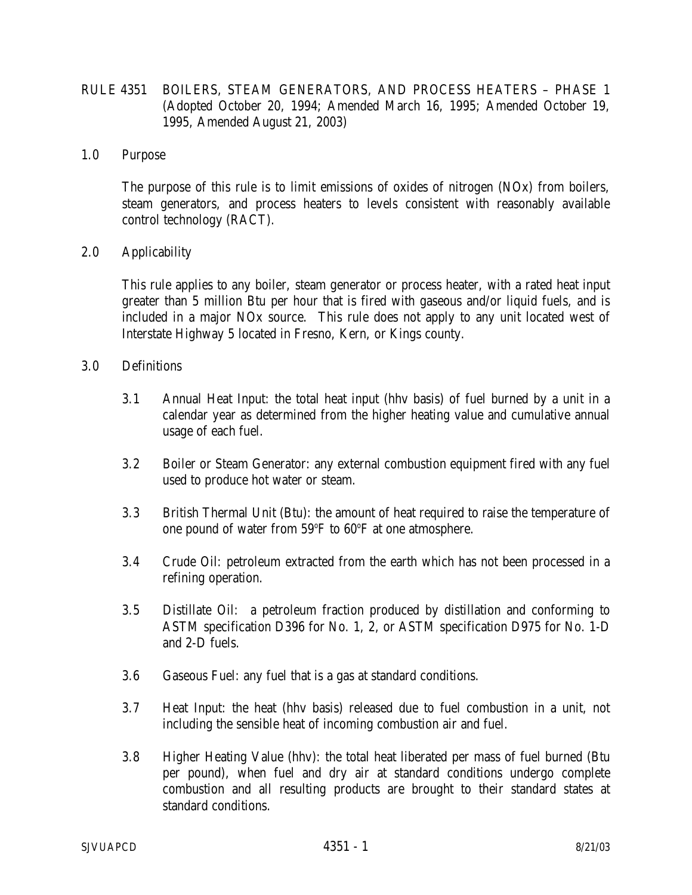- RULE 4351 BOILERS, STEAM GENERATORS, AND PROCESS HEATERS PHASE 1 (Adopted October 20, 1994; Amended March 16, 1995; Amended October 19, 1995, Amended August 21, 2003)
- 1.0 Purpose

 The purpose of this rule is to limit emissions of oxides of nitrogen (NOx) from boilers, steam generators, and process heaters to levels consistent with reasonably available control technology (RACT).

2.0 Applicability

 This rule applies to any boiler, steam generator or process heater, with a rated heat input greater than 5 million Btu per hour that is fired with gaseous and/or liquid fuels, and is included in a major NOx source. This rule does not apply to any unit located west of Interstate Highway 5 located in Fresno, Kern, or Kings county.

- 3.0 Definitions
	- 3.1 Annual Heat Input: the total heat input (hhv basis) of fuel burned by a unit in a calendar year as determined from the higher heating value and cumulative annual usage of each fuel.
	- 3.2 Boiler or Steam Generator: any external combustion equipment fired with any fuel used to produce hot water or steam.
	- 3.3 British Thermal Unit (Btu): the amount of heat required to raise the temperature of one pound of water from 59°F to 60°F at one atmosphere.
	- 3.4 Crude Oil: petroleum extracted from the earth which has not been processed in a refining operation.
	- 3.5 Distillate Oil: a petroleum fraction produced by distillation and conforming to ASTM specification D396 for No. 1, 2, or ASTM specification D975 for No. 1-D and 2-D fuels.
	- 3.6 Gaseous Fuel: any fuel that is a gas at standard conditions.
	- 3.7 Heat Input: the heat (hhv basis) released due to fuel combustion in a unit, not including the sensible heat of incoming combustion air and fuel.
	- 3.8 Higher Heating Value (hhv): the total heat liberated per mass of fuel burned (Btu per pound), when fuel and dry air at standard conditions undergo complete combustion and all resulting products are brought to their standard states at standard conditions.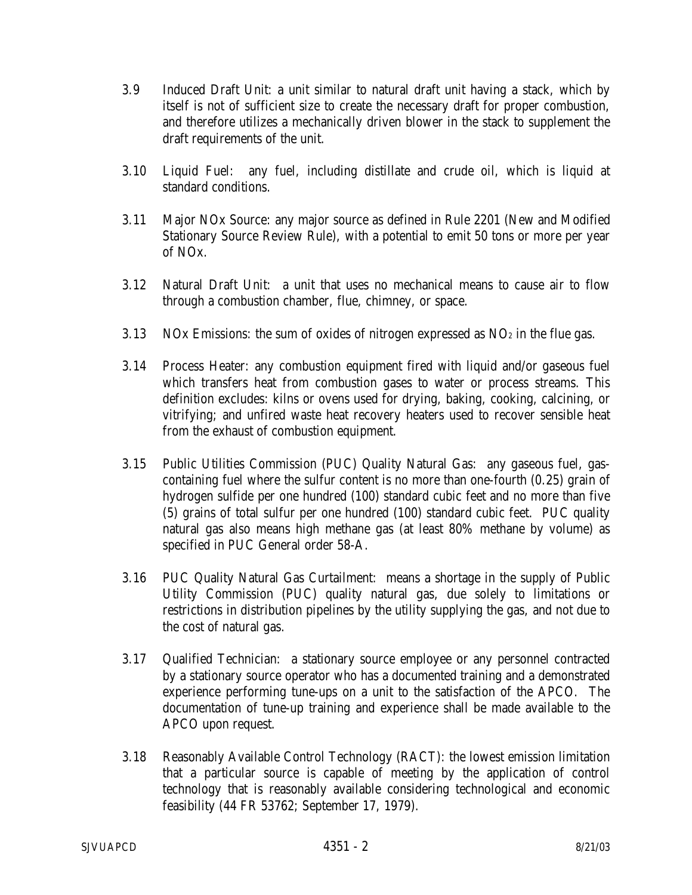- 3.9 Induced Draft Unit: a unit similar to natural draft unit having a stack, which by itself is not of sufficient size to create the necessary draft for proper combustion, and therefore utilizes a mechanically driven blower in the stack to supplement the draft requirements of the unit.
- 3.10 Liquid Fuel: any fuel, including distillate and crude oil, which is liquid at standard conditions.
- 3.11 Major NOx Source: any major source as defined in Rule 2201 (New and Modified Stationary Source Review Rule), with a potential to emit 50 tons or more per year of NOx.
- 3.12 Natural Draft Unit: a unit that uses no mechanical means to cause air to flow through a combustion chamber, flue, chimney, or space.
- 3.13 NOx Emissions: the sum of oxides of nitrogen expressed as  $NO<sub>2</sub>$  in the flue gas.
- 3.14 Process Heater: any combustion equipment fired with liquid and/or gaseous fuel which transfers heat from combustion gases to water or process streams. This definition excludes: kilns or ovens used for drying, baking, cooking, calcining, or vitrifying; and unfired waste heat recovery heaters used to recover sensible heat from the exhaust of combustion equipment.
- 3.15 Public Utilities Commission (PUC) Quality Natural Gas: any gaseous fuel, gascontaining fuel where the sulfur content is no more than one-fourth (0.25) grain of hydrogen sulfide per one hundred (100) standard cubic feet and no more than five (5) grains of total sulfur per one hundred (100) standard cubic feet. PUC quality natural gas also means high methane gas (at least 80% methane by volume) as specified in PUC General order 58-A.
- 3.16 PUC Quality Natural Gas Curtailment: means a shortage in the supply of Public Utility Commission (PUC) quality natural gas, due solely to limitations or restrictions in distribution pipelines by the utility supplying the gas, and not due to the cost of natural gas.
- 3.17 Qualified Technician: a stationary source employee or any personnel contracted by a stationary source operator who has a documented training and a demonstrated experience performing tune-ups on a unit to the satisfaction of the APCO. The documentation of tune-up training and experience shall be made available to the APCO upon request.
- 3.18 Reasonably Available Control Technology (RACT): the lowest emission limitation that a particular source is capable of meeting by the application of control technology that is reasonably available considering technological and economic feasibility (44 FR 53762; September 17, 1979).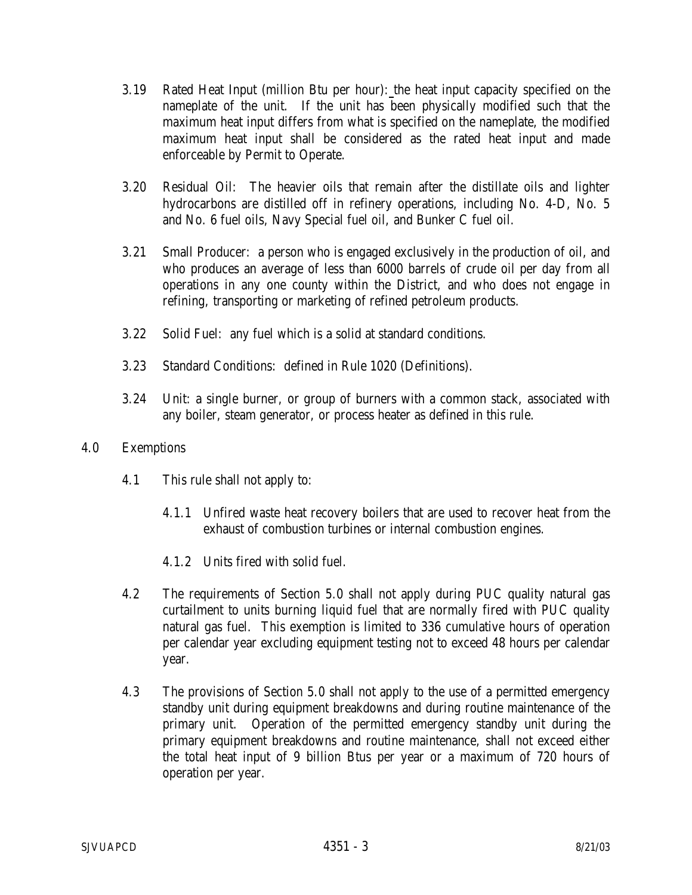- 3.19 Rated Heat Input (million Btu per hour): the heat input capacity specified on the nameplate of the unit. If the unit has been physically modified such that the maximum heat input differs from what is specified on the nameplate, the modified maximum heat input shall be considered as the rated heat input and made enforceable by Permit to Operate.
- 3.20 Residual Oil: The heavier oils that remain after the distillate oils and lighter hydrocarbons are distilled off in refinery operations, including No. 4-D, No. 5 and No. 6 fuel oils, Navy Special fuel oil, and Bunker C fuel oil.
- 3.21 Small Producer: a person who is engaged exclusively in the production of oil, and who produces an average of less than 6000 barrels of crude oil per day from all operations in any one county within the District, and who does not engage in refining, transporting or marketing of refined petroleum products.
- 3.22 Solid Fuel: any fuel which is a solid at standard conditions.
- 3.23 Standard Conditions: defined in Rule 1020 (Definitions).
- 3.24 Unit: a single burner, or group of burners with a common stack, associated with any boiler, steam generator, or process heater as defined in this rule.
- 4.0 Exemptions
	- 4.1 This rule shall not apply to:
		- 4.1.1 Unfired waste heat recovery boilers that are used to recover heat from the exhaust of combustion turbines or internal combustion engines.
		- 4.1.2 Units fired with solid fuel.
	- 4.2 The requirements of Section 5.0 shall not apply during PUC quality natural gas curtailment to units burning liquid fuel that are normally fired with PUC quality natural gas fuel. This exemption is limited to 336 cumulative hours of operation per calendar year excluding equipment testing not to exceed 48 hours per calendar year.
	- 4.3 The provisions of Section 5.0 shall not apply to the use of a permitted emergency standby unit during equipment breakdowns and during routine maintenance of the primary unit. Operation of the permitted emergency standby unit during the primary equipment breakdowns and routine maintenance, shall not exceed either the total heat input of 9 billion Btus per year or a maximum of 720 hours of operation per year.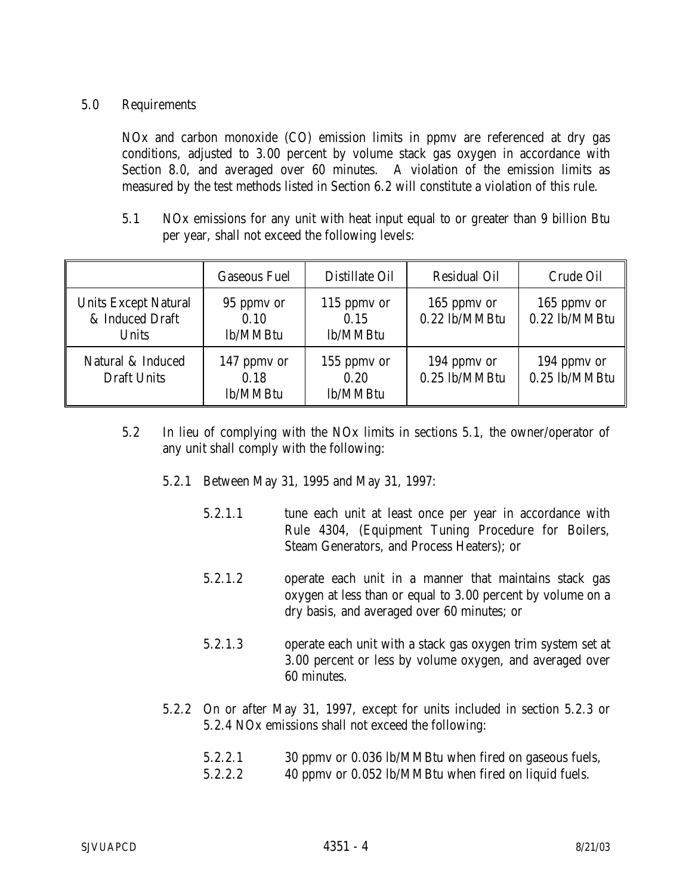# 5.0 Requirements

 NOx and carbon monoxide (CO) emission limits in ppmv are referenced at dry gas conditions, adjusted to 3.00 percent by volume stack gas oxygen in accordance with Section 8.0, and averaged over 60 minutes. A violation of the emission limits as measured by the test methods listed in Section 6.2 will constitute a violation of this rule.

 5.1 NOx emissions for any unit with heat input equal to or greater than 9 billion Btu per year, shall not exceed the following levels:

|                                                                | <b>Gaseous Fuel</b>             | <b>Distillate Oil</b>           | <b>Residual Oil</b>          | Crude Oil                    |
|----------------------------------------------------------------|---------------------------------|---------------------------------|------------------------------|------------------------------|
| <b>Units Except Natural</b><br>& Induced Draft<br><b>Units</b> | 95 ppmy or<br>0.10<br>lb/MMBtu  | 115 ppmy or<br>0.15<br>lb/MMBtu | 165 ppmy or<br>0.22 lb/MMBtu | 165 ppmy or<br>0.22 lb/MMBtu |
| Natural & Induced<br><b>Draft Units</b>                        | 147 ppmy or<br>0.18<br>lb/MMBtu | 155 ppmy or<br>0.20<br>lb/MMBtu | 194 ppmy or<br>0.25 lb/MMBtu | 194 ppmy or<br>0.25 lb/MMBtu |

- 5.2 In lieu of complying with the NOx limits in sections 5.1, the owner/operator of any unit shall comply with the following:
	- 5.2.1 Between May 31, 1995 and May 31, 1997:
		- 5.2.1.1 tune each unit at least once per year in accordance with Rule 4304, (Equipment Tuning Procedure for Boilers, Steam Generators, and Process Heaters); or
		- 5.2.1.2 operate each unit in a manner that maintains stack gas oxygen at less than or equal to 3.00 percent by volume on a dry basis, and averaged over 60 minutes; or
		- 5.2.1.3 operate each unit with a stack gas oxygen trim system set at 3.00 percent or less by volume oxygen, and averaged over 60 minutes.
	- 5.2.2 On or after May 31, 1997, except for units included in section 5.2.3 or 5.2.4 NOx emissions shall not exceed the following:

| 5.2.2.1 | 30 ppmv or 0.036 lb/MMBtu when fired on gaseous fuels, |
|---------|--------------------------------------------------------|
|---------|--------------------------------------------------------|

5.2.2.2 40 ppmv or 0.052 lb/MMBtu when fired on liquid fuels.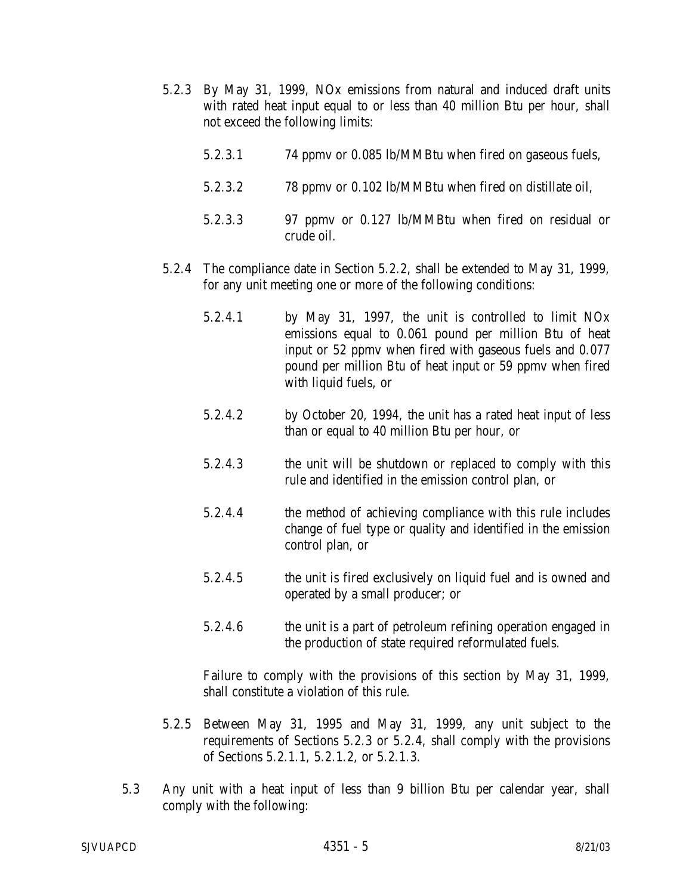- 5.2.3 By May 31, 1999, NOx emissions from natural and induced draft units with rated heat input equal to or less than 40 million Btu per hour, shall not exceed the following limits:
	- 5.2.3.1 74 ppmv or 0.085 lb/MMBtu when fired on gaseous fuels,
	- 5.2.3.2 78 ppmv or 0.102 lb/MMBtu when fired on distillate oil,
	- 5.2.3.3 97 ppmv or 0.127 lb/MMBtu when fired on residual or crude oil.
- 5.2.4 The compliance date in Section 5.2.2, shall be extended to May 31, 1999, for any unit meeting one or more of the following conditions:
	- 5.2.4.1 by May 31, 1997, the unit is controlled to limit NOx emissions equal to 0.061 pound per million Btu of heat input or 52 ppmv when fired with gaseous fuels and 0.077 pound per million Btu of heat input or 59 ppmv when fired with liquid fuels, or
	- 5.2.4.2 by October 20, 1994, the unit has a rated heat input of less than or equal to 40 million Btu per hour, or
	- 5.2.4.3 the unit will be shutdown or replaced to comply with this rule and identified in the emission control plan, or
	- 5.2.4.4 the method of achieving compliance with this rule includes change of fuel type or quality and identified in the emission control plan, or
	- 5.2.4.5 the unit is fired exclusively on liquid fuel and is owned and operated by a small producer; or
	- 5.2.4.6 the unit is a part of petroleum refining operation engaged in the production of state required reformulated fuels.

 Failure to comply with the provisions of this section by May 31, 1999, shall constitute a violation of this rule.

- 5.2.5 Between May 31, 1995 and May 31, 1999, any unit subject to the requirements of Sections 5.2.3 or 5.2.4, shall comply with the provisions of Sections 5.2.1.1, 5.2.1.2, or 5.2.1.3.
- 5.3 Any unit with a heat input of less than 9 billion Btu per calendar year, shall comply with the following: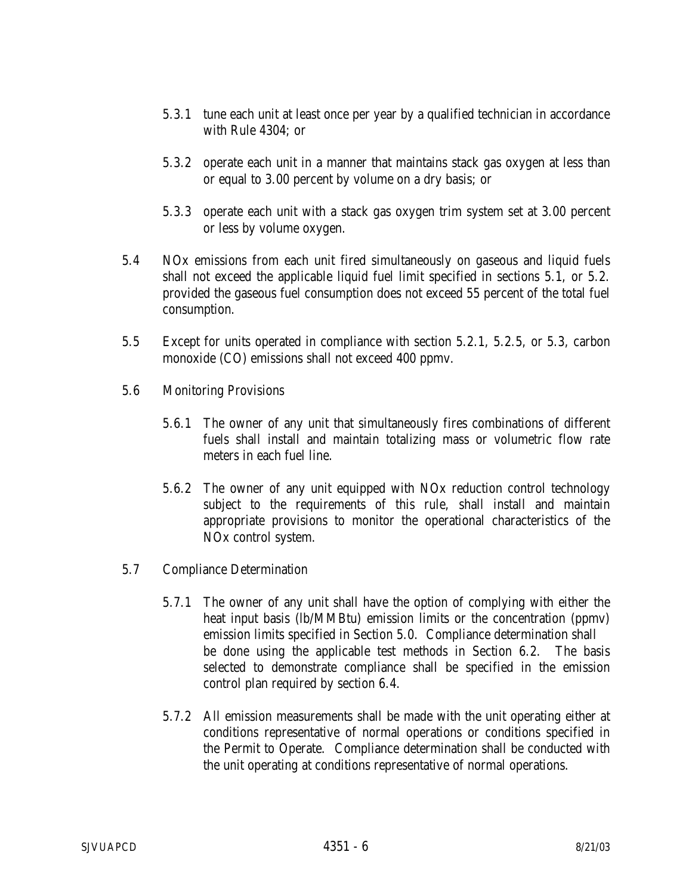- 5.3.1 tune each unit at least once per year by a qualified technician in accordance with Rule 4304; or
- 5.3.2 operate each unit in a manner that maintains stack gas oxygen at less than or equal to 3.00 percent by volume on a dry basis; or
- 5.3.3 operate each unit with a stack gas oxygen trim system set at 3.00 percent or less by volume oxygen.
- 5.4 NOx emissions from each unit fired simultaneously on gaseous and liquid fuels shall not exceed the applicable liquid fuel limit specified in sections 5.1, or 5.2. provided the gaseous fuel consumption does not exceed 55 percent of the total fuel consumption.
- 5.5 Except for units operated in compliance with section 5.2.1, 5.2.5, or 5.3, carbon monoxide (CO) emissions shall not exceed 400 ppmv.
- 5.6 Monitoring Provisions
	- 5.6.1 The owner of any unit that simultaneously fires combinations of different fuels shall install and maintain totalizing mass or volumetric flow rate meters in each fuel line.
	- 5.6.2 The owner of any unit equipped with NOx reduction control technology subject to the requirements of this rule, shall install and maintain appropriate provisions to monitor the operational characteristics of the NOx control system.
- 5.7 Compliance Determination
	- 5.7.1 The owner of any unit shall have the option of complying with either the heat input basis (lb/MMBtu) emission limits or the concentration (ppmv) emission limits specified in Section 5.0. Compliance determination shall be done using the applicable test methods in Section 6.2. The basis selected to demonstrate compliance shall be specified in the emission control plan required by section 6.4.
	- 5.7.2 All emission measurements shall be made with the unit operating either at conditions representative of normal operations or conditions specified in the Permit to Operate. Compliance determination shall be conducted with the unit operating at conditions representative of normal operations.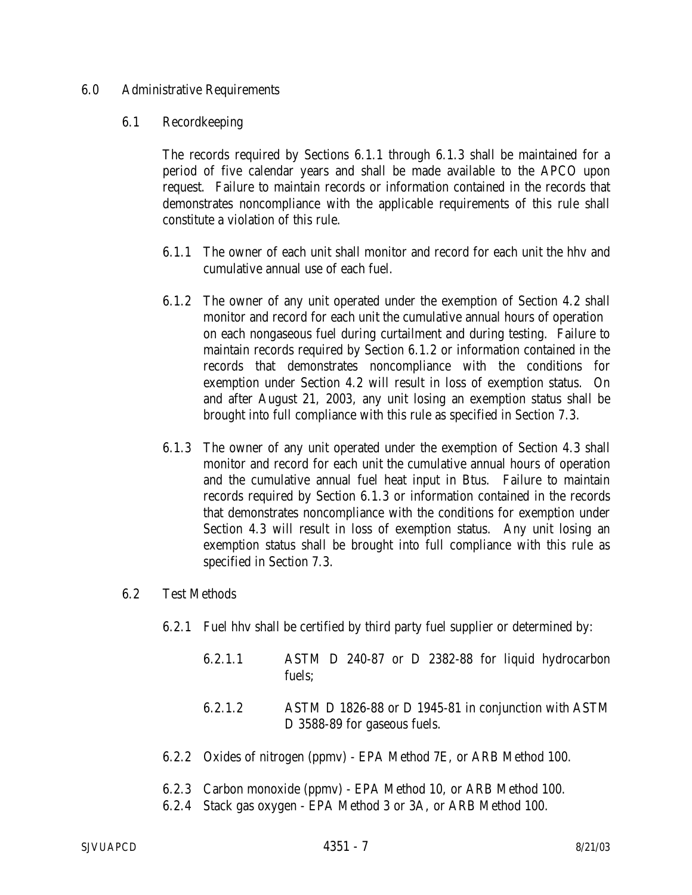## 6.0 Administrative Requirements

#### 6.1 Recordkeeping

The records required by Sections 6.1.1 through 6.1.3 shall be maintained for a period of five calendar years and shall be made available to the APCO upon request. Failure to maintain records or information contained in the records that demonstrates noncompliance with the applicable requirements of this rule shall constitute a violation of this rule.

- 6.1.1 The owner of each unit shall monitor and record for each unit the hhv and cumulative annual use of each fuel.
- 6.1.2 The owner of any unit operated under the exemption of Section 4.2 shall monitor and record for each unit the cumulative annual hours of operation on each nongaseous fuel during curtailment and during testing. Failure to maintain records required by Section 6.1.2 or information contained in the records that demonstrates noncompliance with the conditions for exemption under Section 4.2 will result in loss of exemption status. On and after August 21, 2003, any unit losing an exemption status shall be brought into full compliance with this rule as specified in Section 7.3.
- 6.1.3 The owner of any unit operated under the exemption of Section 4.3 shall monitor and record for each unit the cumulative annual hours of operation and the cumulative annual fuel heat input in Btus. Failure to maintain records required by Section 6.1.3 or information contained in the records that demonstrates noncompliance with the conditions for exemption under Section 4.3 will result in loss of exemption status. Any unit losing an exemption status shall be brought into full compliance with this rule as specified in Section 7.3.

# 6.2 Test Methods

- 6.2.1 Fuel hhv shall be certified by third party fuel supplier or determined by:
	- 6.2.1.1 ASTM D 240-87 or D 2382-88 for liquid hydrocarbon fuels;
	- 6.2.1.2 ASTM D 1826-88 or D 1945-81 in conjunction with ASTM D 3588-89 for gaseous fuels.
- 6.2.2 Oxides of nitrogen (ppmv) EPA Method 7E, or ARB Method 100.
- 6.2.3 Carbon monoxide (ppmv) EPA Method 10, or ARB Method 100.
- 6.2.4 Stack gas oxygen EPA Method 3 or 3A, or ARB Method 100.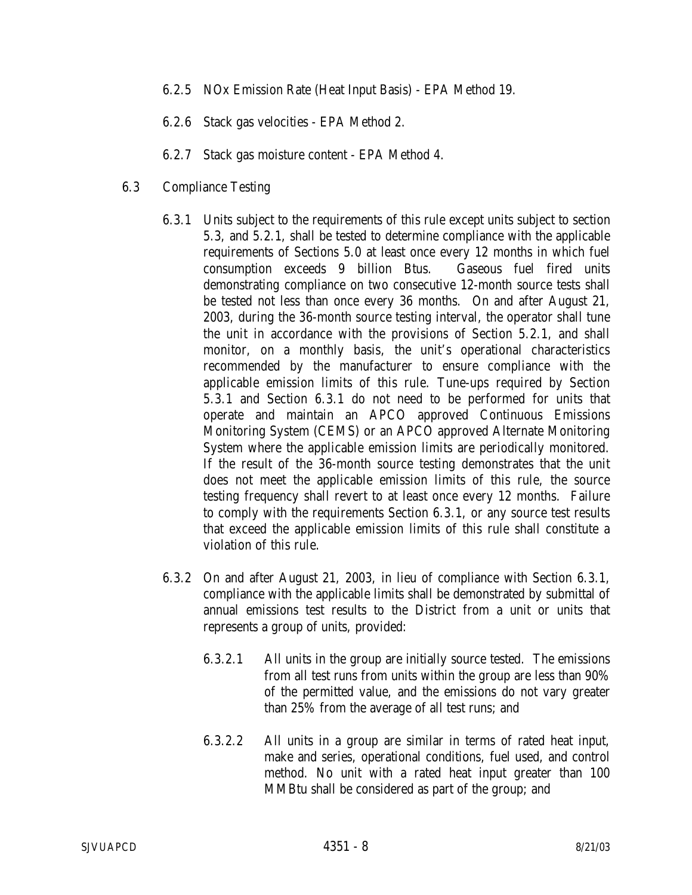- 6.2.5 NOx Emission Rate (Heat Input Basis) EPA Method 19.
- 6.2.6 Stack gas velocities EPA Method 2.
- 6.2.7 Stack gas moisture content EPA Method 4.
- 6.3 Compliance Testing
	- 6.3.1 Units subject to the requirements of this rule except units subject to section 5.3, and 5.2.1, shall be tested to determine compliance with the applicable requirements of Sections 5.0 at least once every 12 months in which fuel consumption exceeds 9 billion Btus. Gaseous fuel fired units demonstrating compliance on two consecutive 12-month source tests shall be tested not less than once every 36 months. On and after August 21, 2003, during the 36-month source testing interval, the operator shall tune the unit in accordance with the provisions of Section 5.2.1, and shall monitor, on a monthly basis, the unit's operational characteristics recommended by the manufacturer to ensure compliance with the applicable emission limits of this rule. Tune-ups required by Section 5.3.1 and Section 6.3.1 do not need to be performed for units that operate and maintain an APCO approved Continuous Emissions Monitoring System (CEMS) or an APCO approved Alternate Monitoring System where the applicable emission limits are periodically monitored. If the result of the 36-month source testing demonstrates that the unit does not meet the applicable emission limits of this rule, the source testing frequency shall revert to at least once every 12 months. Failure to comply with the requirements Section 6.3.1, or any source test results that exceed the applicable emission limits of this rule shall constitute a violation of this rule.
	- 6.3.2 On and after August 21, 2003, in lieu of compliance with Section 6.3.1, compliance with the applicable limits shall be demonstrated by submittal of annual emissions test results to the District from a unit or units that represents a group of units, provided:
		- 6.3.2.1 All units in the group are initially source tested. The emissions from all test runs from units within the group are less than 90% of the permitted value, and the emissions do not vary greater than 25% from the average of all test runs; and
		- 6.3.2.2 All units in a group are similar in terms of rated heat input, make and series, operational conditions, fuel used, and control method. No unit with a rated heat input greater than 100 MMBtu shall be considered as part of the group; and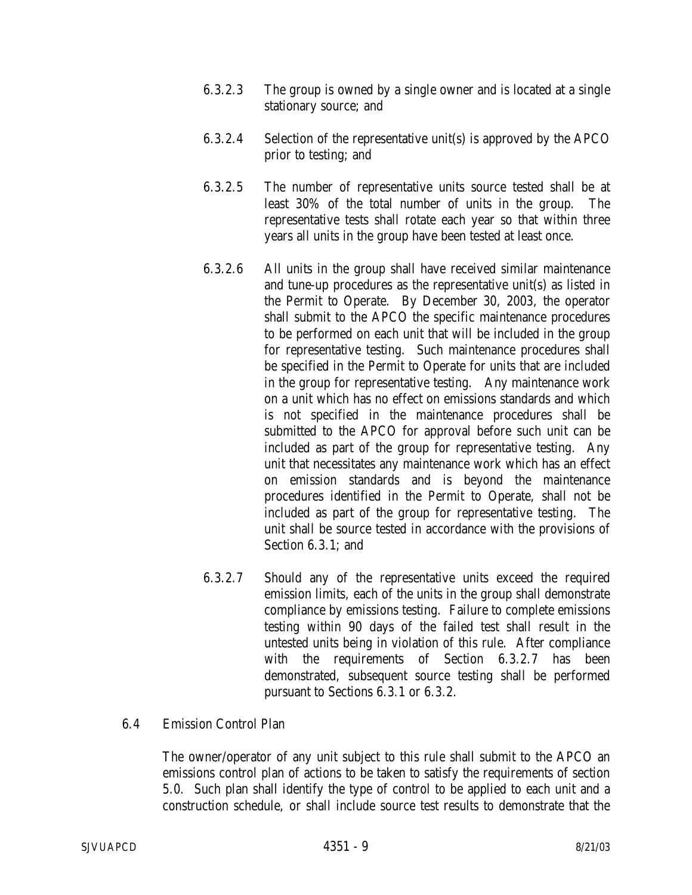- 6.3.2.3 The group is owned by a single owner and is located at a single stationary source; and
- 6.3.2.4 Selection of the representative unit(s) is approved by the APCO prior to testing; and
- 6.3.2.5 The number of representative units source tested shall be at least 30% of the total number of units in the group. The representative tests shall rotate each year so that within three years all units in the group have been tested at least once.
- 6.3.2.6 All units in the group shall have received similar maintenance and tune-up procedures as the representative unit(s) as listed in the Permit to Operate. By December 30, 2003, the operator shall submit to the APCO the specific maintenance procedures to be performed on each unit that will be included in the group for representative testing. Such maintenance procedures shall be specified in the Permit to Operate for units that are included in the group for representative testing. Any maintenance work on a unit which has no effect on emissions standards and which is not specified in the maintenance procedures shall be submitted to the APCO for approval before such unit can be included as part of the group for representative testing. Any unit that necessitates any maintenance work which has an effect on emission standards and is beyond the maintenance procedures identified in the Permit to Operate, shall not be included as part of the group for representative testing. The unit shall be source tested in accordance with the provisions of Section 6.3.1; and
- 6.3.2.7 Should any of the representative units exceed the required emission limits, each of the units in the group shall demonstrate compliance by emissions testing. Failure to complete emissions testing within 90 days of the failed test shall result in the untested units being in violation of this rule. After compliance with the requirements of Section 6.3.2.7 has been demonstrated, subsequent source testing shall be performed pursuant to Sections 6.3.1 or 6.3.2.

# 6.4 Emission Control Plan

 The owner/operator of any unit subject to this rule shall submit to the APCO an emissions control plan of actions to be taken to satisfy the requirements of section 5.0. Such plan shall identify the type of control to be applied to each unit and a construction schedule, or shall include source test results to demonstrate that the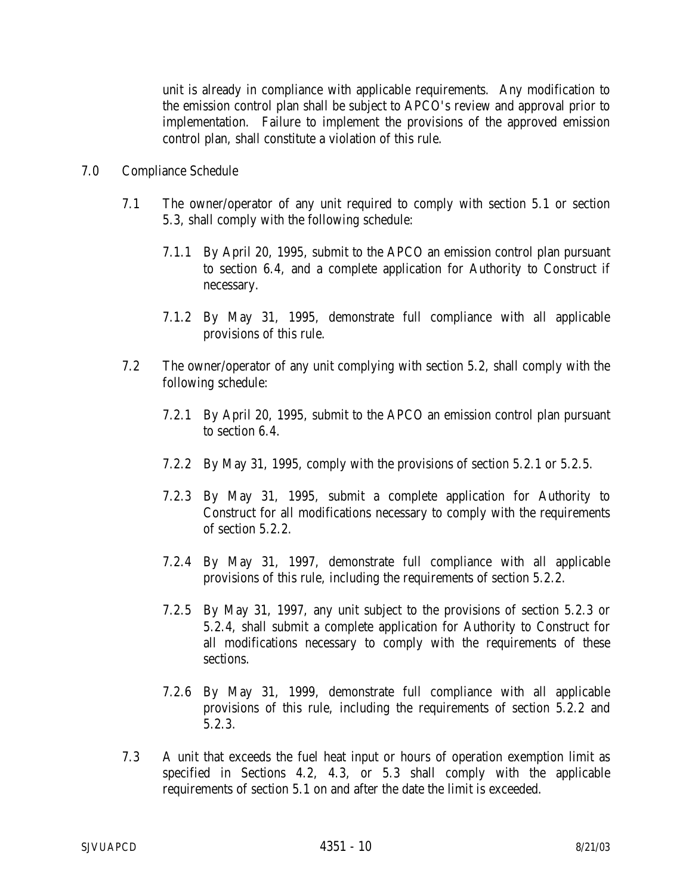unit is already in compliance with applicable requirements. Any modification to the emission control plan shall be subject to APCO's review and approval prior to implementation. Failure to implement the provisions of the approved emission control plan, shall constitute a violation of this rule.

- 7.0 Compliance Schedule
	- 7.1 The owner/operator of any unit required to comply with section 5.1 or section 5.3, shall comply with the following schedule:
		- 7.1.1 By April 20, 1995, submit to the APCO an emission control plan pursuant to section 6.4, and a complete application for Authority to Construct if necessary.
		- 7.1.2 By May 31, 1995, demonstrate full compliance with all applicable provisions of this rule.
	- 7.2 The owner/operator of any unit complying with section 5.2, shall comply with the following schedule:
		- 7.2.1 By April 20, 1995, submit to the APCO an emission control plan pursuant to section 6.4.
		- 7.2.2 By May 31, 1995, comply with the provisions of section 5.2.1 or 5.2.5.
		- 7.2.3 By May 31, 1995, submit a complete application for Authority to Construct for all modifications necessary to comply with the requirements of section 5.2.2.
		- 7.2.4 By May 31, 1997, demonstrate full compliance with all applicable provisions of this rule, including the requirements of section 5.2.2.
		- 7.2.5 By May 31, 1997, any unit subject to the provisions of section 5.2.3 or 5.2.4, shall submit a complete application for Authority to Construct for all modifications necessary to comply with the requirements of these sections.
		- 7.2.6 By May 31, 1999, demonstrate full compliance with all applicable provisions of this rule, including the requirements of section 5.2.2 and 5.2.3.
	- 7.3 A unit that exceeds the fuel heat input or hours of operation exemption limit as specified in Sections 4.2, 4.3, or 5.3 shall comply with the applicable requirements of section 5.1 on and after the date the limit is exceeded.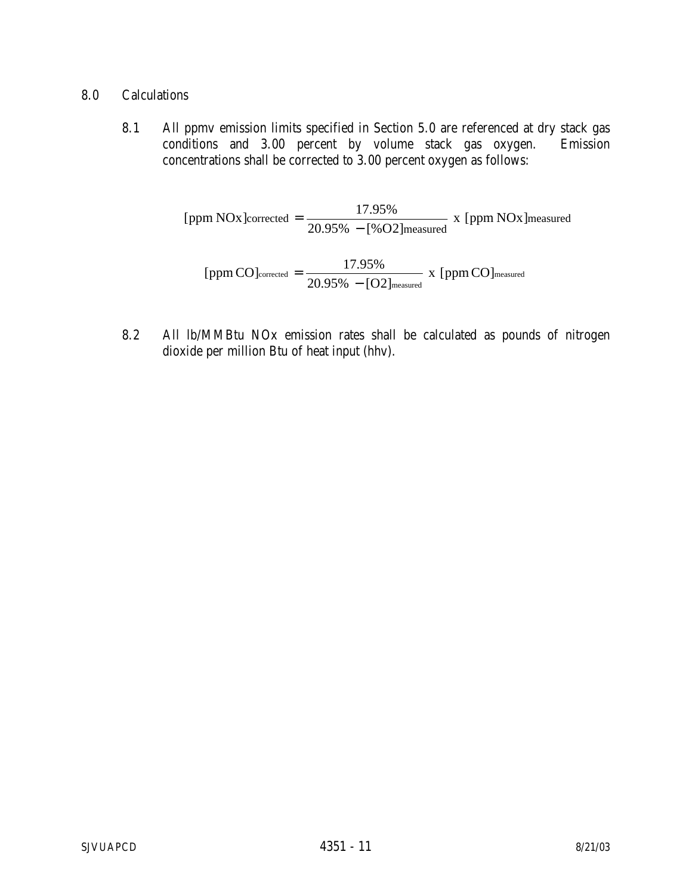- 8.0 Calculations
	- 8.1 All ppmv emission limits specified in Section 5.0 are referenced at dry stack gas conditions and 3.00 percent by volume stack gas oxygen. Emission concentrations shall be corrected to 3.00 percent oxygen as follows:

[ppm NOx]corrected = 
$$
\frac{17.95\%}{20.95\% - [%O2] \text{measured}} \times \text{[ppm NOx] measured}
$$
  
[ppm CO]corrected = 
$$
\frac{17.95\%}{20.95\% - [O2] \text{measured}} \times \text{[ppm CO] \text{measured}}
$$

 8.2 All lb/MMBtu NOx emission rates shall be calculated as pounds of nitrogen dioxide per million Btu of heat input (hhv).